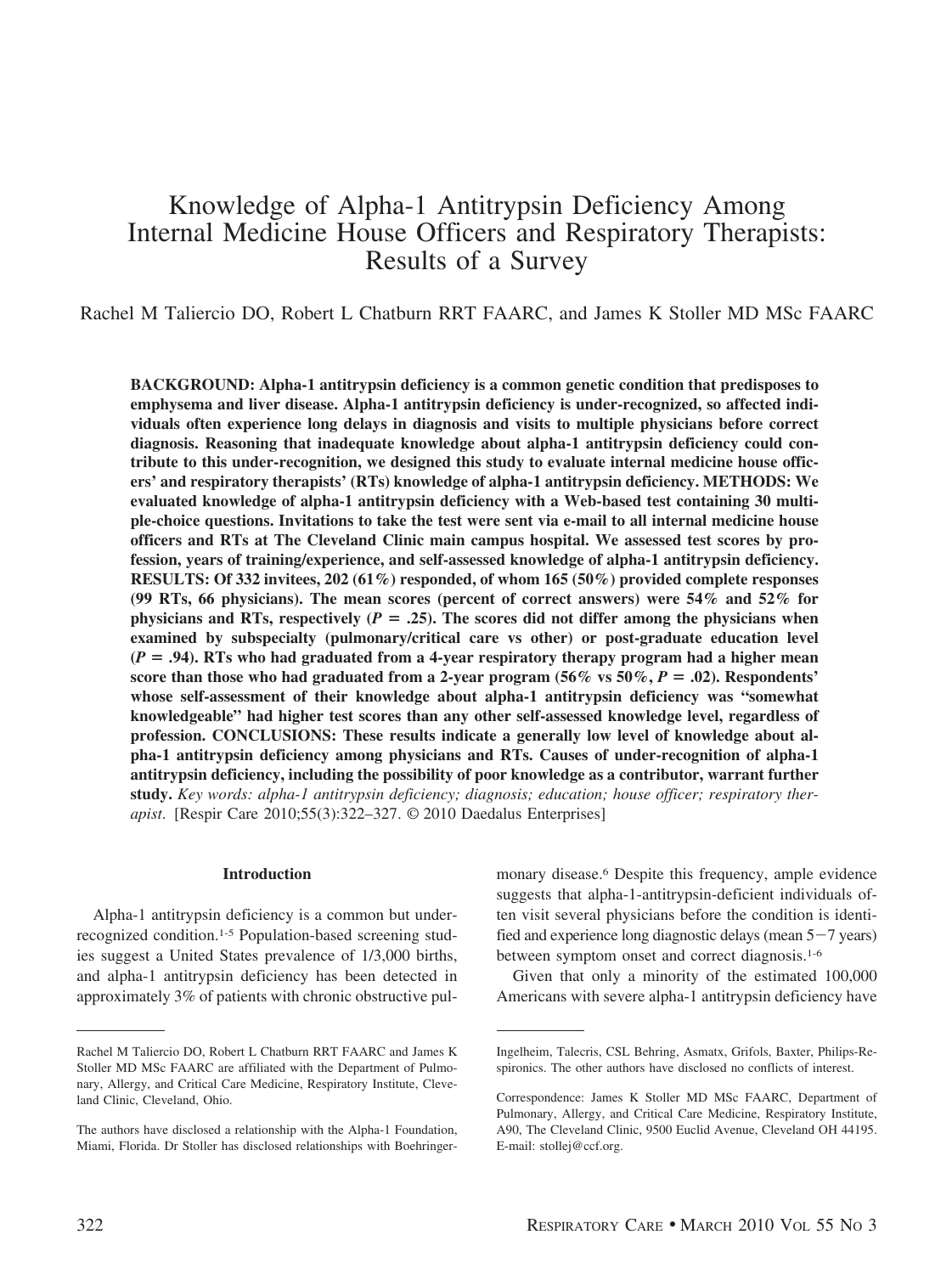# Knowledge of Alpha-1 Antitrypsin Deficiency Among Internal Medicine House Officers and Respiratory Therapists: Results of a Survey

Rachel M Taliercio DO, Robert L Chatburn RRT FAARC, and James K Stoller MD MSc FAARC

**BACKGROUND: Alpha-1 antitrypsin deficiency is a common genetic condition that predisposes to emphysema and liver disease. Alpha-1 antitrypsin deficiency is under-recognized, so affected individuals often experience long delays in diagnosis and visits to multiple physicians before correct diagnosis. Reasoning that inadequate knowledge about alpha-1 antitrypsin deficiency could contribute to this under-recognition, we designed this study to evaluate internal medicine house officers' and respiratory therapists' (RTs) knowledge of alpha-1 antitrypsin deficiency. METHODS: We evaluated knowledge of alpha-1 antitrypsin deficiency with a Web-based test containing 30 multiple-choice questions. Invitations to take the test were sent via e-mail to all internal medicine house officers and RTs at The Cleveland Clinic main campus hospital. We assessed test scores by profession, years of training/experience, and self-assessed knowledge of alpha-1 antitrypsin deficiency. RESULTS: Of 332 invitees, 202 (61%) responded, of whom 165 (50%) provided complete responses (99 RTs, 66 physicians). The mean scores (percent of correct answers) were 54% and 52% for physicians and RTs, respectively (** $P = .25$ **). The scores did not differ among the physicians when examined by subspecialty (pulmonary/critical care vs other) or post-graduate education level (***P* **.94). RTs who had graduated from a 4-year respiratory therapy program had a higher mean** score than those who had graduated from a 2-year program  $(56\% \text{ vs } 50\%, P = .02)$ . Respondents' **whose self-assessment of their knowledge about alpha-1 antitrypsin deficiency was "somewhat knowledgeable" had higher test scores than any other self-assessed knowledge level, regardless of profession. CONCLUSIONS: These results indicate a generally low level of knowledge about alpha-1 antitrypsin deficiency among physicians and RTs. Causes of under-recognition of alpha-1 antitrypsin deficiency, including the possibility of poor knowledge as a contributor, warrant further study.** *Key words: alpha-1 antitrypsin deficiency; diagnosis; education; house officer; respiratory therapist*. [Respir Care 2010;55(3):322–327. © 2010 Daedalus Enterprises]

## **Introduction**

Alpha-1 antitrypsin deficiency is a common but underrecognized condition.1-5 Population-based screening studies suggest a United States prevalence of 1/3,000 births, and alpha-1 antitrypsin deficiency has been detected in approximately 3% of patients with chronic obstructive pul-

monary disease.6 Despite this frequency, ample evidence suggests that alpha-1-antitrypsin-deficient individuals often visit several physicians before the condition is identified and experience long diagnostic delays (mean  $5-7$  years) between symptom onset and correct diagnosis.1-6

Given that only a minority of the estimated 100,000 Americans with severe alpha-1 antitrypsin deficiency have

Rachel M Taliercio DO, Robert L Chatburn RRT FAARC and James K Stoller MD MSc FAARC are affiliated with the Department of Pulmonary, Allergy, and Critical Care Medicine, Respiratory Institute, Cleveland Clinic, Cleveland, Ohio.

The authors have disclosed a relationship with the Alpha-1 Foundation, Miami, Florida. Dr Stoller has disclosed relationships with Boehringer-

Ingelheim, Talecris, CSL Behring, Asmatx, Grifols, Baxter, Philips-Respironics. The other authors have disclosed no conflicts of interest.

Correspondence: James K Stoller MD MSc FAARC, Department of Pulmonary, Allergy, and Critical Care Medicine, Respiratory Institute, A90, The Cleveland Clinic, 9500 Euclid Avenue, Cleveland OH 44195. E-mail: stollej@ccf.org.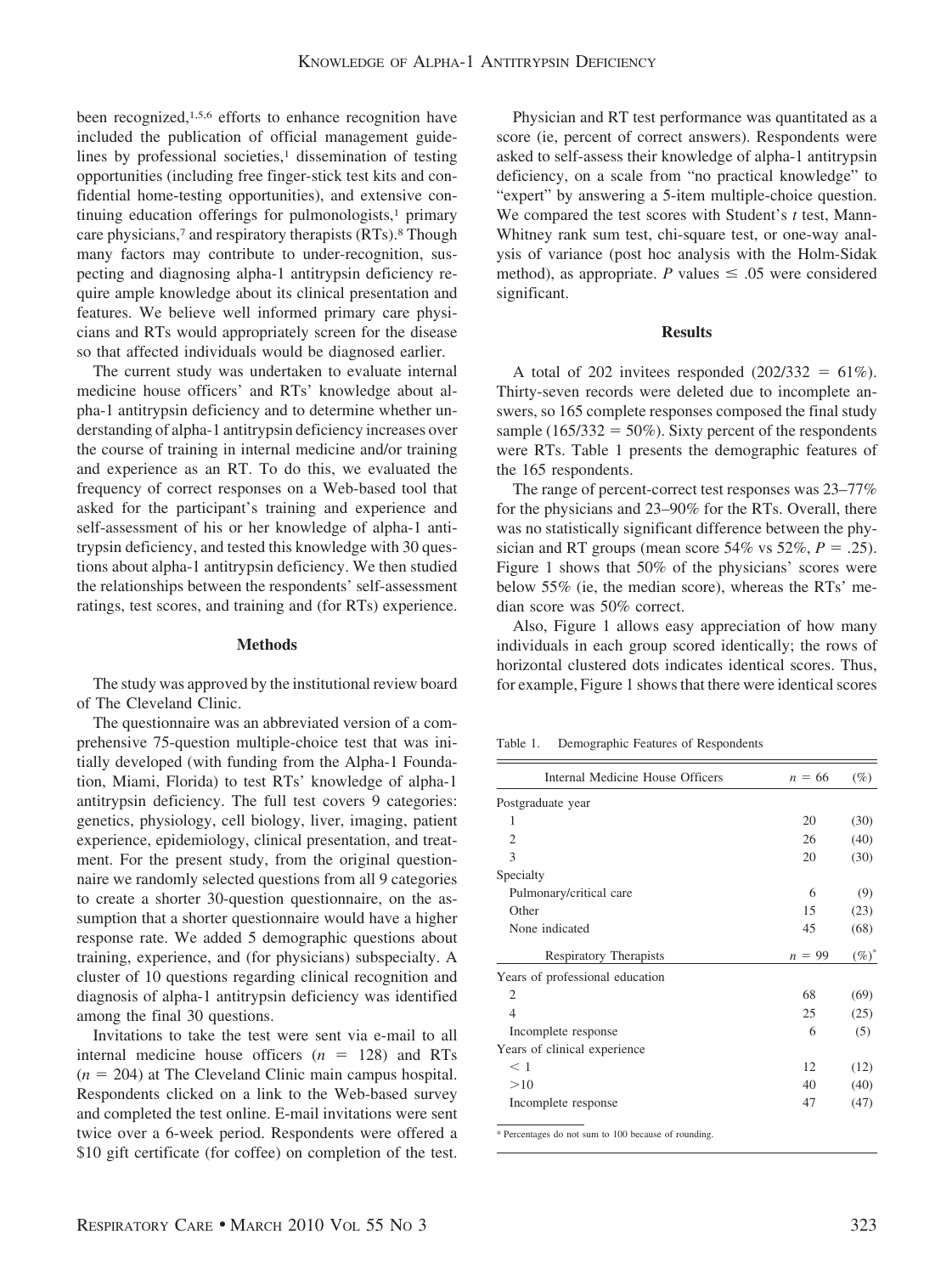been recognized,1,5,6 efforts to enhance recognition have included the publication of official management guidelines by professional societies, $\frac{1}{1}$  dissemination of testing opportunities (including free finger-stick test kits and confidential home-testing opportunities), and extensive continuing education offerings for pulmonologists, $\frac{1}{1}$  primary care physicians,<sup>7</sup> and respiratory therapists (RTs).<sup>8</sup> Though many factors may contribute to under-recognition, suspecting and diagnosing alpha-1 antitrypsin deficiency require ample knowledge about its clinical presentation and features. We believe well informed primary care physicians and RTs would appropriately screen for the disease so that affected individuals would be diagnosed earlier.

The current study was undertaken to evaluate internal medicine house officers' and RTs' knowledge about alpha-1 antitrypsin deficiency and to determine whether understanding of alpha-1 antitrypsin deficiency increases over the course of training in internal medicine and/or training and experience as an RT. To do this, we evaluated the frequency of correct responses on a Web-based tool that asked for the participant's training and experience and self-assessment of his or her knowledge of alpha-1 antitrypsin deficiency, and tested this knowledge with 30 questions about alpha-1 antitrypsin deficiency. We then studied the relationships between the respondents' self-assessment ratings, test scores, and training and (for RTs) experience.

#### **Methods**

The study was approved by the institutional review board of The Cleveland Clinic.

The questionnaire was an abbreviated version of a comprehensive 75-question multiple-choice test that was initially developed (with funding from the Alpha-1 Foundation, Miami, Florida) to test RTs' knowledge of alpha-1 antitrypsin deficiency. The full test covers 9 categories: genetics, physiology, cell biology, liver, imaging, patient experience, epidemiology, clinical presentation, and treatment. For the present study, from the original questionnaire we randomly selected questions from all 9 categories to create a shorter 30-question questionnaire, on the assumption that a shorter questionnaire would have a higher response rate. We added 5 demographic questions about training, experience, and (for physicians) subspecialty. A cluster of 10 questions regarding clinical recognition and diagnosis of alpha-1 antitrypsin deficiency was identified among the final 30 questions.

Invitations to take the test were sent via e-mail to all internal medicine house officers  $(n = 128)$  and RTs  $(n = 204)$  at The Cleveland Clinic main campus hospital. Respondents clicked on a link to the Web-based survey and completed the test online. E-mail invitations were sent twice over a 6-week period. Respondents were offered a \$10 gift certificate (for coffee) on completion of the test.

Physician and RT test performance was quantitated as a score (ie, percent of correct answers). Respondents were asked to self-assess their knowledge of alpha-1 antitrypsin deficiency, on a scale from "no practical knowledge" to "expert" by answering a 5-item multiple-choice question. We compared the test scores with Student's *t* test, Mann-Whitney rank sum test, chi-square test, or one-way analysis of variance (post hoc analysis with the Holm-Sidak method), as appropriate. *P* values  $\leq .05$  were considered significant.

# **Results**

A total of 202 invitees responded  $(202/332 = 61\%)$ . Thirty-seven records were deleted due to incomplete answers, so 165 complete responses composed the final study sample (165/332 = 50%). Sixty percent of the respondents were RTs. Table 1 presents the demographic features of the 165 respondents.

The range of percent-correct test responses was 23–77% for the physicians and 23–90% for the RTs. Overall, there was no statistically significant difference between the physician and RT groups (mean score  $54\%$  vs  $52\%, P = .25$ ). Figure 1 shows that 50% of the physicians' scores were below 55% (ie, the median score), whereas the RTs' median score was 50% correct.

Also, Figure 1 allows easy appreciation of how many individuals in each group scored identically; the rows of horizontal clustered dots indicates identical scores. Thus, for example, Figure 1 shows that there were identical scores

Table 1. Demographic Features of Respondents

| Internal Medicine House Officers | $n = 66$ | $(\%)$   |
|----------------------------------|----------|----------|
| Postgraduate year                |          |          |
| 1                                | 20       | (30)     |
| $\overline{2}$                   | 26       | (40)     |
| 3                                | 20       | (30)     |
| Specialty                        |          |          |
| Pulmonary/critical care          | 6        | (9)      |
| Other                            | 15       | (23)     |
| None indicated                   | 45       | (68)     |
| Respiratory Therapists           | $n = 99$ | $(\%)^*$ |
| Years of professional education  |          |          |
| 2                                | 68       | (69)     |
| $\overline{4}$                   | 25       | (25)     |
| Incomplete response              | 6        | (5)      |
| Years of clinical experience     |          |          |
| $\leq 1$                         | 12       | (12)     |
| >10                              | 40       | (40)     |
| Incomplete response              | 47       | (47)     |
|                                  |          |          |

\* Percentages do not sum to 100 because of rounding.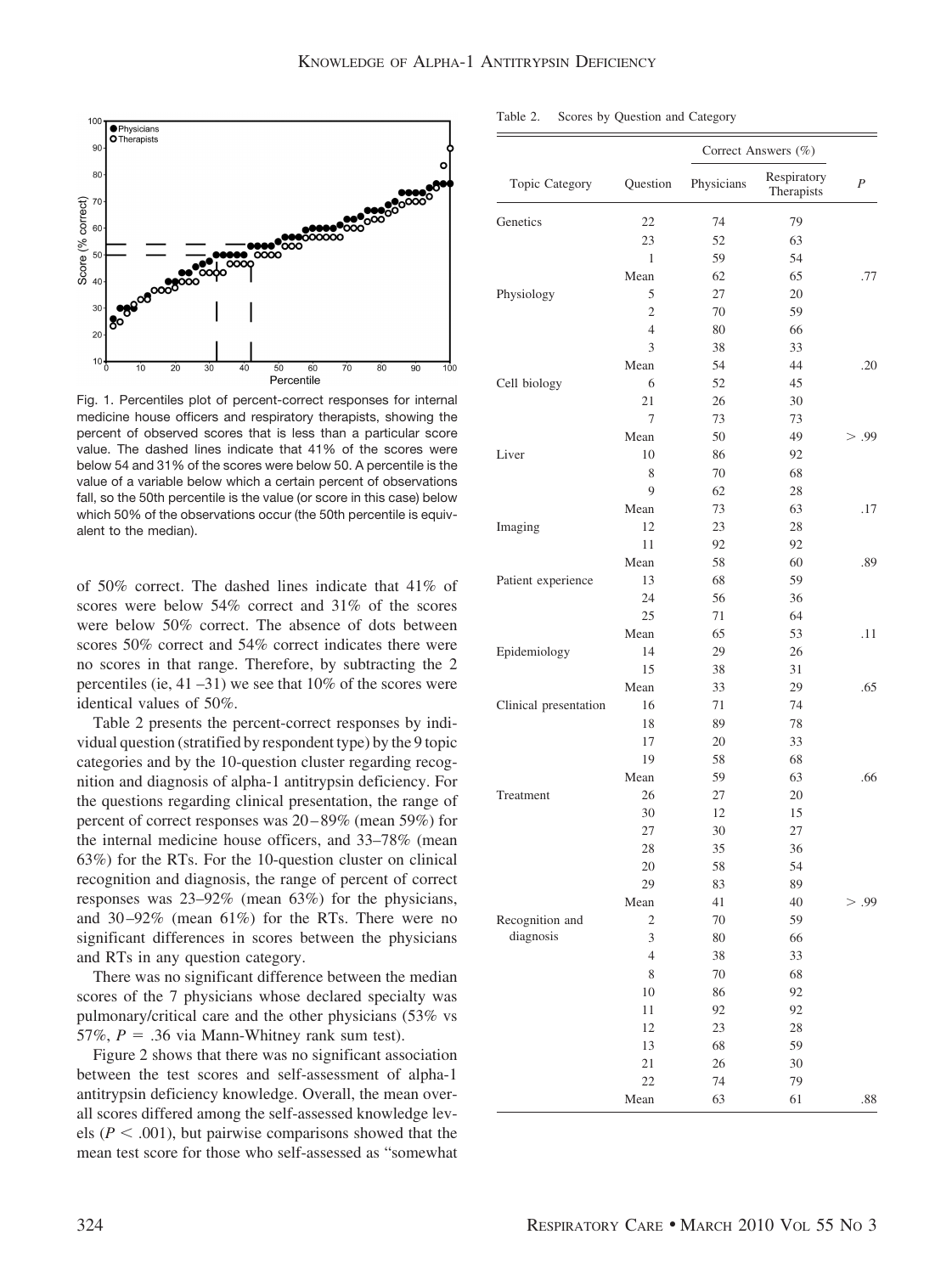

Fig. 1. Percentiles plot of percent-correct responses for internal medicine house officers and respiratory therapists, showing the percent of observed scores that is less than a particular score value. The dashed lines indicate that 41% of the scores were below 54 and 31% of the scores were below 50. A percentile is the value of a variable below which a certain percent of observations fall, so the 50th percentile is the value (or score in this case) below which 50% of the observations occur (the 50th percentile is equivalent to the median).

of 50% correct. The dashed lines indicate that 41% of scores were below 54% correct and 31% of the scores were below 50% correct. The absence of dots between scores 50% correct and 54% correct indicates there were no scores in that range. Therefore, by subtracting the 2 percentiles (ie, 41 –31) we see that 10% of the scores were identical values of 50%.

Table 2 presents the percent-correct responses by individual question (stratified by respondent type) by the 9 topic categories and by the 10-question cluster regarding recognition and diagnosis of alpha-1 antitrypsin deficiency. For the questions regarding clinical presentation, the range of percent of correct responses was 20 – 89% (mean 59%) for the internal medicine house officers, and 33–78% (mean 63%) for the RTs. For the 10-question cluster on clinical recognition and diagnosis, the range of percent of correct responses was 23–92% (mean 63%) for the physicians, and 30 –92% (mean 61%) for the RTs. There were no significant differences in scores between the physicians and RTs in any question category.

There was no significant difference between the median scores of the 7 physicians whose declared specialty was pulmonary/critical care and the other physicians (53% vs  $57\%, P = .36$  via Mann-Whitney rank sum test).

Figure 2 shows that there was no significant association between the test scores and self-assessment of alpha-1 antitrypsin deficiency knowledge. Overall, the mean overall scores differed among the self-assessed knowledge levels  $(P < .001)$ , but pairwise comparisons showed that the mean test score for those who self-assessed as "somewhat

| Topic Category        | Question       | Correct Answers (%) |                           |                |
|-----------------------|----------------|---------------------|---------------------------|----------------|
|                       |                | Physicians          | Respiratory<br>Therapists | $\overline{P}$ |
| Genetics              | 22             | 74                  | 79                        |                |
|                       | 23             | 52                  | 63                        |                |
|                       | 1              | 59                  | 54                        |                |
|                       | Mean           | 62                  | 65                        | .77            |
| Physiology            | 5              | 27                  | 20                        |                |
|                       | $\overline{c}$ | 70                  | 59                        |                |
|                       | 4              | 80                  | 66                        |                |
|                       | 3              | 38                  | 33                        |                |
|                       | Mean           | 54                  | 44                        | .20            |
| Cell biology          | 6              | 52                  | 45                        |                |
|                       | 21             | 26                  | 30                        |                |
|                       | 7              | 73                  | 73                        |                |
|                       | Mean           | 50                  | 49                        | > .99          |
| Liver                 | 10             | 86                  | 92                        |                |
|                       | 8              | 70                  | 68                        |                |
|                       | 9              | 62                  | 28                        |                |
|                       | Mean           | 73                  | 63                        | .17            |
| Imaging               | 12             | 23                  | 28                        |                |
|                       | 11             | 92                  | 92                        |                |
|                       | Mean           | 58                  | 60                        | .89            |
| Patient experience    | 13             | 68                  | 59                        |                |
|                       | 24             | 56                  | 36                        |                |
|                       | 25             | 71                  | 64                        |                |
|                       | Mean           | 65                  | 53                        | .11            |
| Epidemiology          | 14             | 29                  | 26                        |                |
|                       | 15             | 38                  | 31                        |                |
|                       | Mean           | 33                  | 29                        | .65            |
| Clinical presentation | 16             | 71                  | 74                        |                |
|                       | 18             | 89                  | 78                        |                |
|                       | 17             | 20                  | 33                        |                |
|                       | 19             | 58                  | 68                        |                |
|                       | Mean           | 59                  | 63                        | .66            |
| Treatment             | 26             | 27                  | 20                        |                |
|                       | 30             | 12                  | 15                        |                |
|                       | 27             | 30                  | 27                        |                |
|                       | 28             | 35                  | 36                        |                |
|                       | 20             | 58                  | 54                        |                |
|                       | 29             | 83                  | 89                        |                |
|                       | Mean           | 41                  | 40                        | > .99          |
| Recognition and       | $\overline{c}$ | 70                  | 59                        |                |
| diagnosis             | 3              | 80                  | 66                        |                |
|                       | $\overline{4}$ | 38                  | 33                        |                |
|                       | 8              | 70                  | 68                        |                |
|                       | 10             | 86                  | 92                        |                |
|                       | 11             | 92                  | 92                        |                |
|                       | 12             | 23                  | 28                        |                |
|                       | 13             | 68                  | 59                        |                |
|                       | 21             | 26                  | 30                        |                |
|                       | 22             | 74                  | 79                        |                |
|                       | Mean           | 63                  | 61                        | .88            |

Table 2. Scores by Question and Category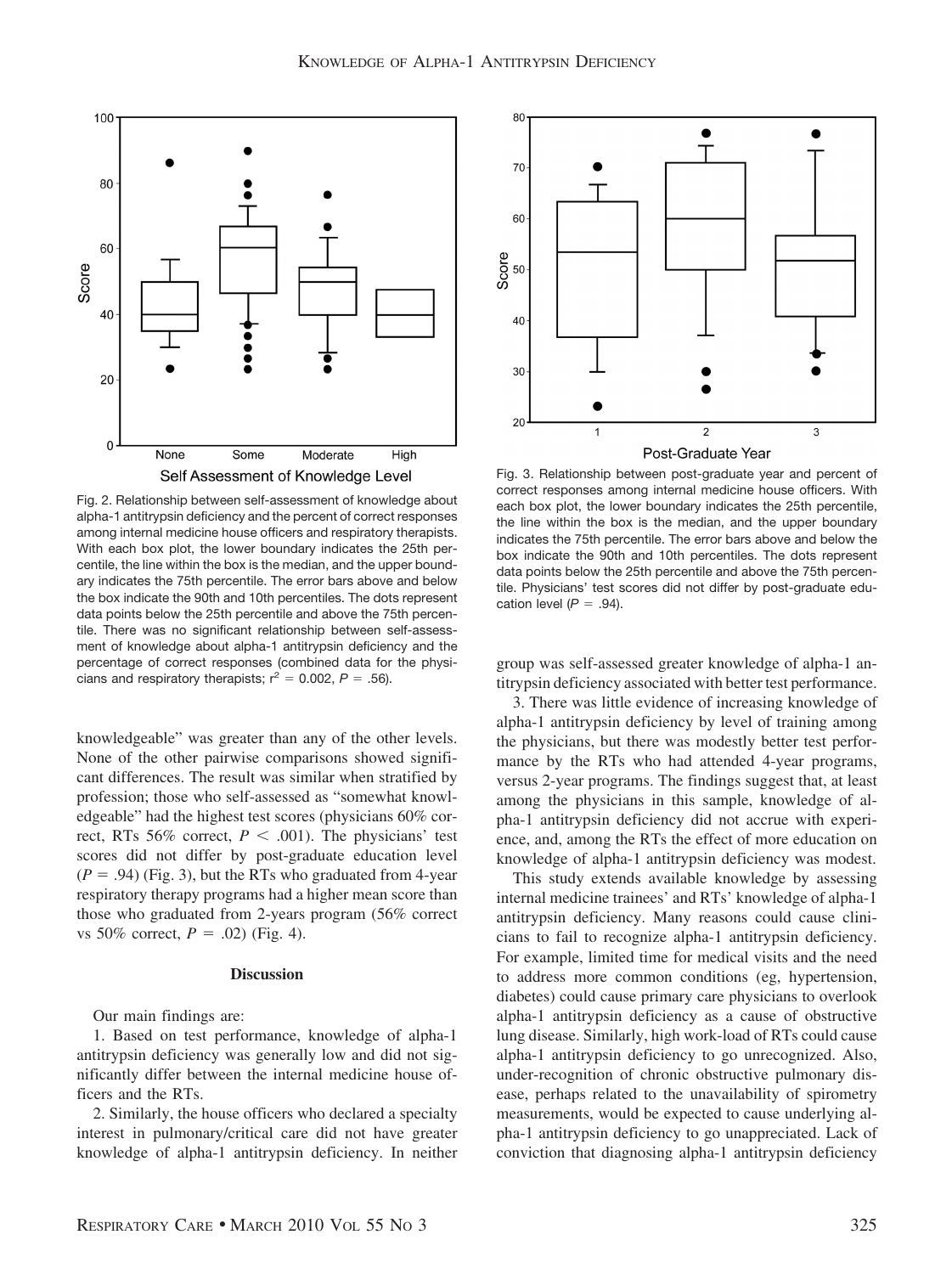

Fig. 2. Relationship between self-assessment of knowledge about alpha-1 antitrypsin deficiency and the percent of correct responses among internal medicine house officers and respiratory therapists. With each box plot, the lower boundary indicates the 25th percentile, the line within the box is the median, and the upper boundary indicates the 75th percentile. The error bars above and below the box indicate the 90th and 10th percentiles. The dots represent data points below the 25th percentile and above the 75th percentile. There was no significant relationship between self-assessment of knowledge about alpha-1 antitrypsin deficiency and the percentage of correct responses (combined data for the physicians and respiratory therapists;  $r^2 = 0.002$ ,  $P = .56$ ).

knowledgeable" was greater than any of the other levels. None of the other pairwise comparisons showed significant differences. The result was similar when stratified by profession; those who self-assessed as "somewhat knowledgeable" had the highest test scores (physicians 60% correct, RTs 56% correct,  $P < .001$ ). The physicians' test scores did not differ by post-graduate education level  $(P = .94)$  (Fig. 3), but the RTs who graduated from 4-year respiratory therapy programs had a higher mean score than those who graduated from 2-years program (56% correct vs 50% correct,  $P = .02$ ) (Fig. 4).

## **Discussion**

Our main findings are:

1. Based on test performance, knowledge of alpha-1 antitrypsin deficiency was generally low and did not significantly differ between the internal medicine house officers and the RTs.

2. Similarly, the house officers who declared a specialty interest in pulmonary/critical care did not have greater knowledge of alpha-1 antitrypsin deficiency. In neither



Fig. 3. Relationship between post-graduate year and percent of correct responses among internal medicine house officers. With each box plot, the lower boundary indicates the 25th percentile, the line within the box is the median, and the upper boundary indicates the 75th percentile. The error bars above and below the box indicate the 90th and 10th percentiles. The dots represent data points below the 25th percentile and above the 75th percentile. Physicians' test scores did not differ by post-graduate education level  $(P = .94)$ .

group was self-assessed greater knowledge of alpha-1 antitrypsin deficiency associated with better test performance.

3. There was little evidence of increasing knowledge of alpha-1 antitrypsin deficiency by level of training among the physicians, but there was modestly better test performance by the RTs who had attended 4-year programs, versus 2-year programs. The findings suggest that, at least among the physicians in this sample, knowledge of alpha-1 antitrypsin deficiency did not accrue with experience, and, among the RTs the effect of more education on knowledge of alpha-1 antitrypsin deficiency was modest.

This study extends available knowledge by assessing internal medicine trainees' and RTs' knowledge of alpha-1 antitrypsin deficiency. Many reasons could cause clinicians to fail to recognize alpha-1 antitrypsin deficiency. For example, limited time for medical visits and the need to address more common conditions (eg, hypertension, diabetes) could cause primary care physicians to overlook alpha-1 antitrypsin deficiency as a cause of obstructive lung disease. Similarly, high work-load of RTs could cause alpha-1 antitrypsin deficiency to go unrecognized. Also, under-recognition of chronic obstructive pulmonary disease, perhaps related to the unavailability of spirometry measurements, would be expected to cause underlying alpha-1 antitrypsin deficiency to go unappreciated. Lack of conviction that diagnosing alpha-1 antitrypsin deficiency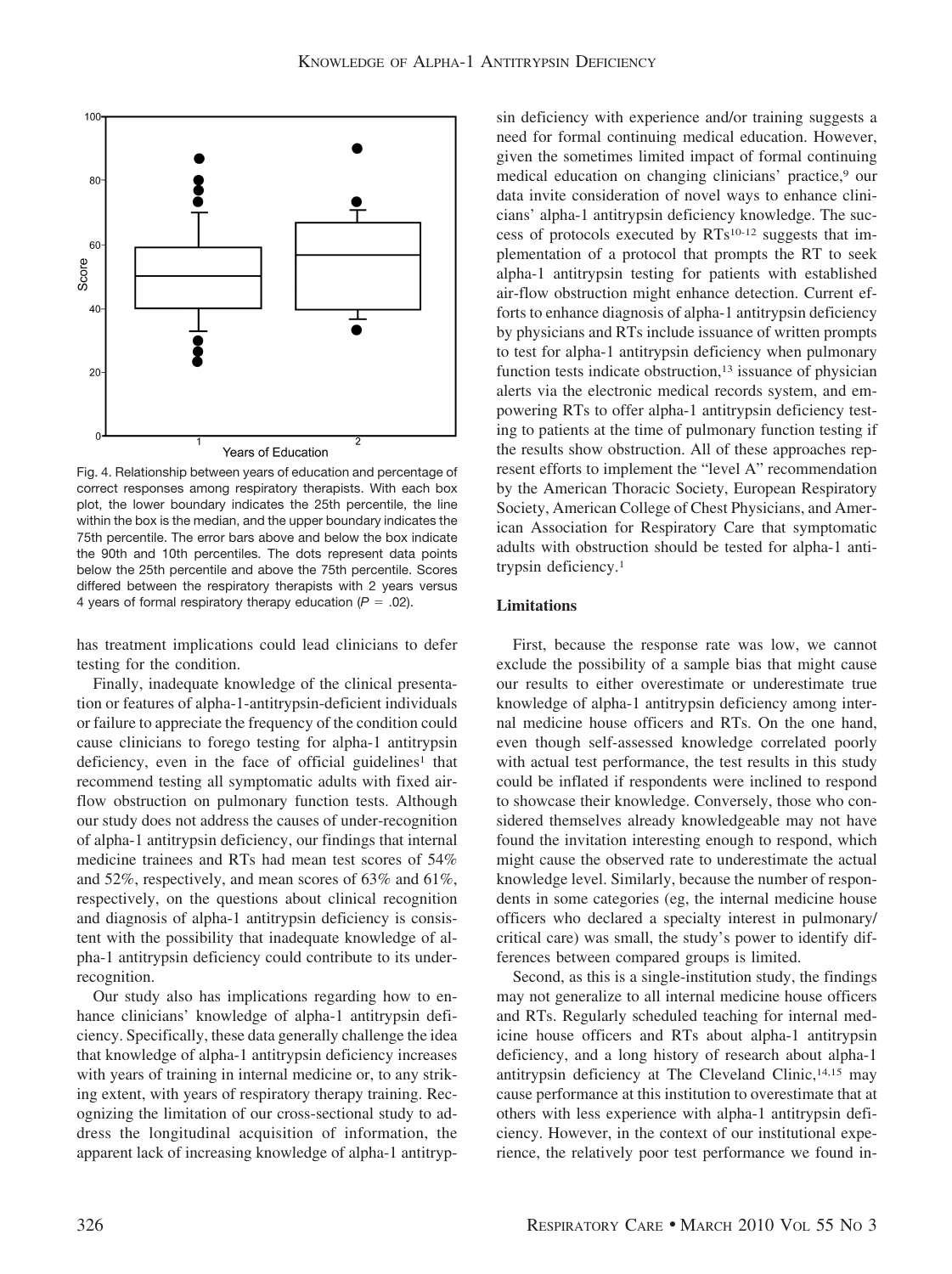

Fig. 4. Relationship between years of education and percentage of correct responses among respiratory therapists. With each box plot, the lower boundary indicates the 25th percentile, the line within the box is the median, and the upper boundary indicates the 75th percentile. The error bars above and below the box indicate the 90th and 10th percentiles. The dots represent data points below the 25th percentile and above the 75th percentile. Scores differed between the respiratory therapists with 2 years versus 4 years of formal respiratory therapy education  $(P = .02)$ .

has treatment implications could lead clinicians to defer testing for the condition.

Finally, inadequate knowledge of the clinical presentation or features of alpha-1-antitrypsin-deficient individuals or failure to appreciate the frequency of the condition could cause clinicians to forego testing for alpha-1 antitrypsin deficiency, even in the face of official guidelines<sup>1</sup> that recommend testing all symptomatic adults with fixed airflow obstruction on pulmonary function tests. Although our study does not address the causes of under-recognition of alpha-1 antitrypsin deficiency, our findings that internal medicine trainees and RTs had mean test scores of 54% and 52%, respectively, and mean scores of 63% and 61%, respectively, on the questions about clinical recognition and diagnosis of alpha-1 antitrypsin deficiency is consistent with the possibility that inadequate knowledge of alpha-1 antitrypsin deficiency could contribute to its underrecognition.

Our study also has implications regarding how to enhance clinicians' knowledge of alpha-1 antitrypsin deficiency. Specifically, these data generally challenge the idea that knowledge of alpha-1 antitrypsin deficiency increases with years of training in internal medicine or, to any striking extent, with years of respiratory therapy training. Recognizing the limitation of our cross-sectional study to address the longitudinal acquisition of information, the apparent lack of increasing knowledge of alpha-1 antitrypsin deficiency with experience and/or training suggests a need for formal continuing medical education. However, given the sometimes limited impact of formal continuing medical education on changing clinicians' practice,<sup>9</sup> our data invite consideration of novel ways to enhance clinicians' alpha-1 antitrypsin deficiency knowledge. The success of protocols executed by RTs10-12 suggests that implementation of a protocol that prompts the RT to seek alpha-1 antitrypsin testing for patients with established air-flow obstruction might enhance detection. Current efforts to enhance diagnosis of alpha-1 antitrypsin deficiency by physicians and RTs include issuance of written prompts to test for alpha-1 antitrypsin deficiency when pulmonary function tests indicate obstruction,<sup>13</sup> issuance of physician alerts via the electronic medical records system, and empowering RTs to offer alpha-1 antitrypsin deficiency testing to patients at the time of pulmonary function testing if the results show obstruction. All of these approaches represent efforts to implement the "level A" recommendation by the American Thoracic Society, European Respiratory Society, American College of Chest Physicians, and American Association for Respiratory Care that symptomatic adults with obstruction should be tested for alpha-1 antitrypsin deficiency.1

# **Limitations**

First, because the response rate was low, we cannot exclude the possibility of a sample bias that might cause our results to either overestimate or underestimate true knowledge of alpha-1 antitrypsin deficiency among internal medicine house officers and RTs. On the one hand, even though self-assessed knowledge correlated poorly with actual test performance, the test results in this study could be inflated if respondents were inclined to respond to showcase their knowledge. Conversely, those who considered themselves already knowledgeable may not have found the invitation interesting enough to respond, which might cause the observed rate to underestimate the actual knowledge level. Similarly, because the number of respondents in some categories (eg, the internal medicine house officers who declared a specialty interest in pulmonary/ critical care) was small, the study's power to identify differences between compared groups is limited.

Second, as this is a single-institution study, the findings may not generalize to all internal medicine house officers and RTs. Regularly scheduled teaching for internal medicine house officers and RTs about alpha-1 antitrypsin deficiency, and a long history of research about alpha-1 antitrypsin deficiency at The Cleveland Clinic,14,15 may cause performance at this institution to overestimate that at others with less experience with alpha-1 antitrypsin deficiency. However, in the context of our institutional experience, the relatively poor test performance we found in